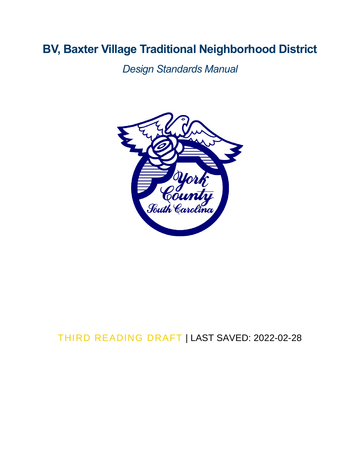# **BV, Baxter Village Traditional Neighborhood District**

*Design Standards Manual* 



## THIRD READING DRAFT | LAST SAVED: 2022-02-28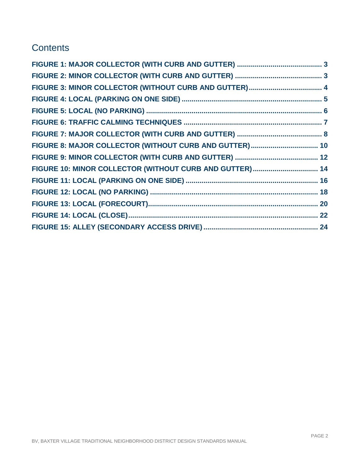### **Contents**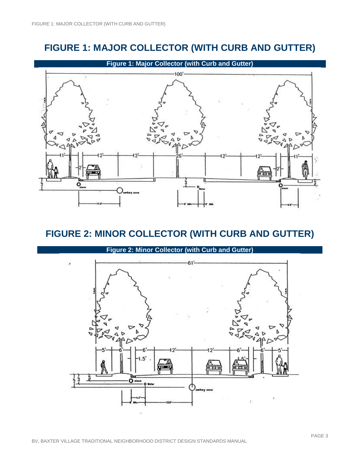### **FIGURE 1: MAJOR COLLECTOR (WITH CURB AND GUTTER)**

<span id="page-2-0"></span>

### <span id="page-2-1"></span>**FIGURE 2: MINOR COLLECTOR (WITH CURB AND GUTTER)**

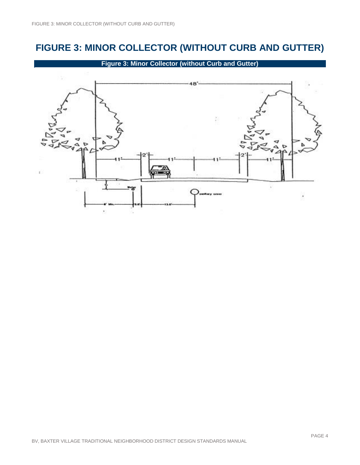# <span id="page-3-0"></span>**FIGURE 3: MINOR COLLECTOR (WITHOUT CURB AND GUTTER)**

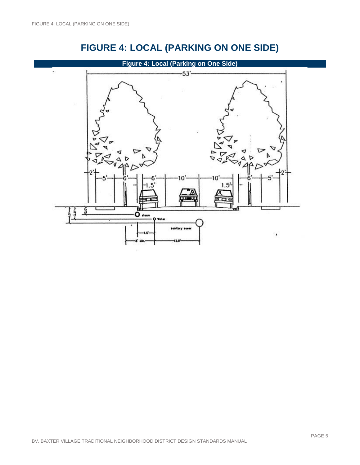<span id="page-4-0"></span>

# **FIGURE 4: LOCAL (PARKING ON ONE SIDE)**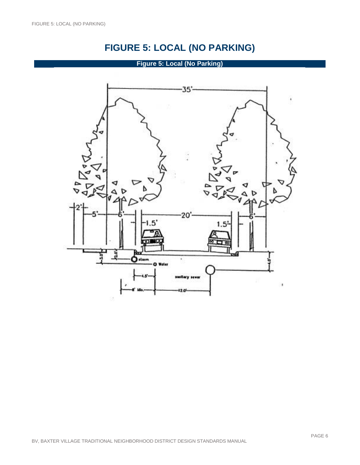# **FIGURE 5: LOCAL (NO PARKING)**

#### **Figure 5: Local (No Parking)**

<span id="page-5-0"></span>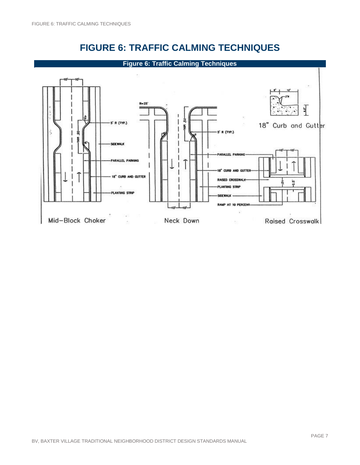

<span id="page-6-0"></span>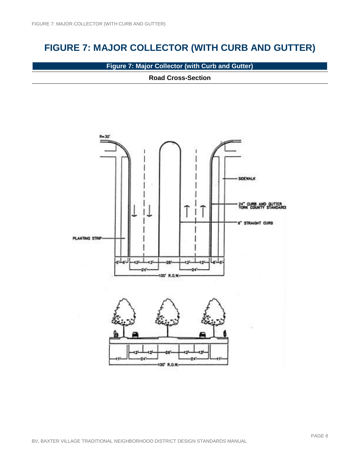# <span id="page-7-0"></span>**FIGURE 7: MAJOR COLLECTOR (WITH CURB AND GUTTER)**

**Figure 7: Major Collector (with Curb and Gutter)**

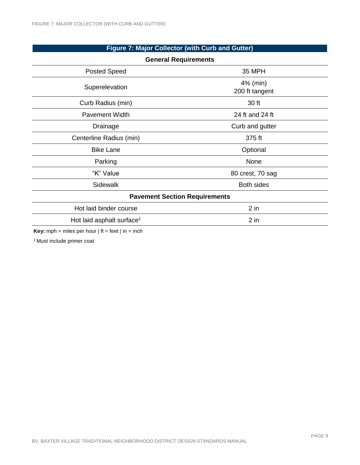#### **Figure 7: Major Collector (with Curb and Gutter)**

| <b>General Requirements</b>                                           |                            |  |
|-----------------------------------------------------------------------|----------------------------|--|
| <b>Posted Speed</b>                                                   | <b>35 MPH</b>              |  |
| Superelevation                                                        | 4% (min)<br>200 ft tangent |  |
| Curb Radius (min)                                                     | 30 ft                      |  |
| <b>Pavement Width</b>                                                 | 24 ft and 24 ft            |  |
| Drainage                                                              | Curb and gutter            |  |
| Centerline Radius (min)                                               | 375 ft                     |  |
| <b>Bike Lane</b>                                                      | Optional                   |  |
| Parking                                                               | None                       |  |
| "K" Value                                                             | 80 crest, 70 sag           |  |
| Sidewalk                                                              | <b>Both sides</b>          |  |
| <b>Pavement Section Requirements</b>                                  |                            |  |
| Hot laid binder course                                                | $2$ in                     |  |
| Hot laid asphalt surface <sup>1</sup>                                 | $2$ in                     |  |
| <b>Key</b> mph = miles per hour $\theta$ if = feet $\theta$ in = inch |                            |  |

**Key:** mph = miles per hour  $|$  ft = feet  $|$  in = inch

1 Must include primer coat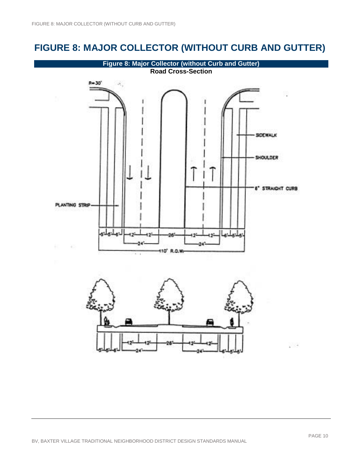### <span id="page-9-0"></span>**FIGURE 8: MAJOR COLLECTOR (WITHOUT CURB AND GUTTER)**

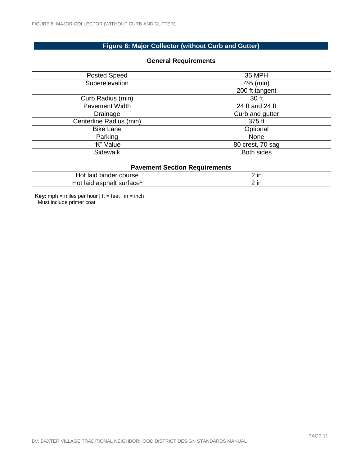#### **Figure 8: Major Collector (without Curb and Gutter)**

| <b>Posted Speed</b>     | <b>35 MPH</b>     |  |
|-------------------------|-------------------|--|
| Superelevation          | 4% (min)          |  |
|                         | 200 ft tangent    |  |
| Curb Radius (min)       | 30 ft             |  |
| <b>Pavement Width</b>   | 24 ft and 24 ft   |  |
| Drainage                | Curb and gutter   |  |
| Centerline Radius (min) | 375 ft            |  |
| <b>Bike Lane</b>        | Optional          |  |
| Parking                 | None              |  |
| "K" Value               | 80 crest, 70 sag  |  |
| Sidewalk                | <b>Both sides</b> |  |
|                         |                   |  |

#### **General Requirements**

| <b>Pavement Section Requirements</b>  |  |  |
|---------------------------------------|--|--|
| Hot laid binder course                |  |  |
| Hot laid asphalt surface <sup>1</sup> |  |  |

**Key:** mph = miles per hour  $|$  ft = feet  $|$  in = inch <sup>1</sup> Must include primer coat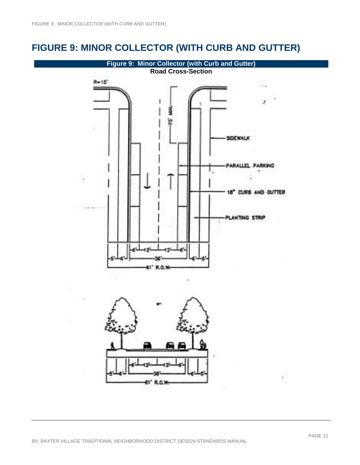### <span id="page-11-0"></span>**FIGURE 9: MINOR COLLECTOR (WITH CURB AND GUTTER)**

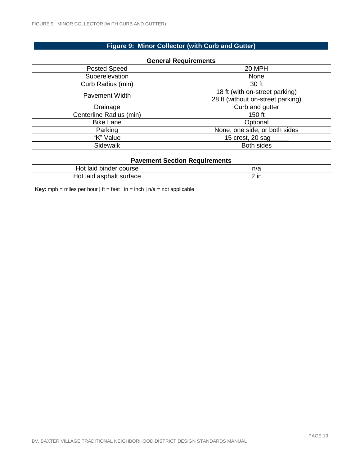#### **Figure 9: Minor Collector (with Curb and Gutter)**

| <b>General Requirements</b>          |                                   |
|--------------------------------------|-----------------------------------|
| <b>Posted Speed</b>                  | 20 MPH                            |
| Superelevation                       | None                              |
| Curb Radius (min)                    | 30 ft                             |
| <b>Pavement Width</b>                | 18 ft (with on-street parking)    |
|                                      | 28 ft (without on-street parking) |
| Drainage                             | Curb and gutter                   |
| Centerline Radius (min)              | 150 ft                            |
| <b>Bike Lane</b>                     | Optional                          |
| Parking                              | None, one side, or both sides     |
| "K" Value                            | 15 crest, 20 sag                  |
| Sidewalk                             | <b>Both sides</b>                 |
| <b>Pavement Section Requirements</b> |                                   |

| Favellient Section Regulientents |      |  |
|----------------------------------|------|--|
| Hot laid binder course           | n/a  |  |
| Hot laid asphalt surface         | 2 in |  |

<span id="page-12-0"></span>**Key:** mph = miles per hour  $|$  ft = feet  $|$  in = inch  $|$  n/a = not applicable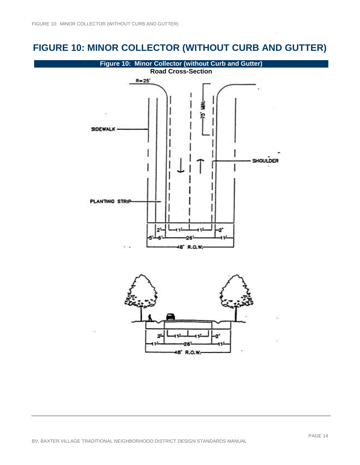## **FIGURE 10: MINOR COLLECTOR (WITHOUT CURB AND GUTTER)**

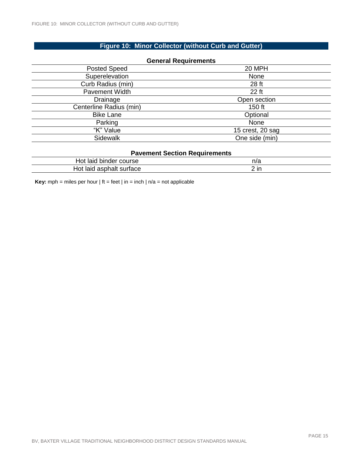#### **Figure 10: Minor Collector (without Curb and Gutter)**

| <b>General Requirements</b> |                  |  |
|-----------------------------|------------------|--|
| <b>Posted Speed</b>         | 20 MPH           |  |
| Superelevation              | None             |  |
| Curb Radius (min)           | 28 ft            |  |
| <b>Pavement Width</b>       | 22 ft            |  |
| Drainage                    | Open section     |  |
| Centerline Radius (min)     | $150$ ft         |  |
| <b>Bike Lane</b>            | Optional         |  |
| Parking                     | None             |  |
| "K" Value                   | 15 crest, 20 sag |  |
| Sidewalk                    | One side (min)   |  |
|                             |                  |  |

#### **Pavement Section Requirements**

| binder course<br>Hot laid         | n/a             |
|-----------------------------------|-----------------|
| ⊣ot<br>asphalt<br>surtace<br>laid | 2 <sub>in</sub> |

<span id="page-14-0"></span>**Key:** mph = miles per hour  $|$  ft = feet  $|$  in = inch  $|$  n/a = not applicable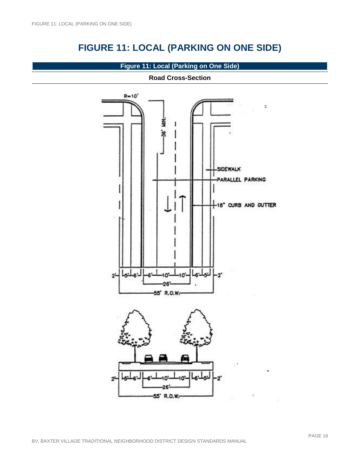# **FIGURE 11: LOCAL (PARKING ON ONE SIDE)**

#### **Figure 11: Local (Parking on One Side)**

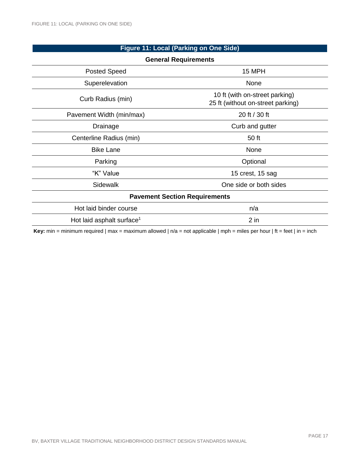### **Figure 11: Local (Parking on One Side)**

| <b>General Requirements</b>           |                                                                     |  |
|---------------------------------------|---------------------------------------------------------------------|--|
| <b>Posted Speed</b>                   | 15 MPH                                                              |  |
| Superelevation                        | None                                                                |  |
| Curb Radius (min)                     | 10 ft (with on-street parking)<br>25 ft (without on-street parking) |  |
| Pavement Width (min/max)              | 20 ft / 30 ft                                                       |  |
| Drainage                              | Curb and gutter                                                     |  |
| Centerline Radius (min)               | 50 ft                                                               |  |
| <b>Bike Lane</b>                      | None                                                                |  |
| Parking                               | Optional                                                            |  |
| "K" Value                             | 15 crest, 15 sag                                                    |  |
| Sidewalk                              | One side or both sides                                              |  |
| <b>Pavement Section Requirements</b>  |                                                                     |  |
| Hot laid binder course                | n/a                                                                 |  |
| Hot laid asphalt surface <sup>1</sup> | $2$ in                                                              |  |

<span id="page-16-0"></span>**Key:** min = minimum required | max = maximum allowed | n/a = not applicable | mph = miles per hour | ft = feet | in = inch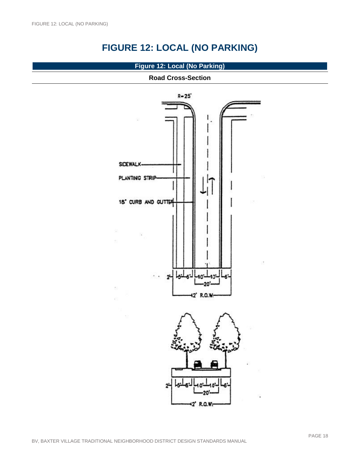# **FIGURE 12: LOCAL (NO PARKING)**

#### **Figure 12: Local (No Parking)**

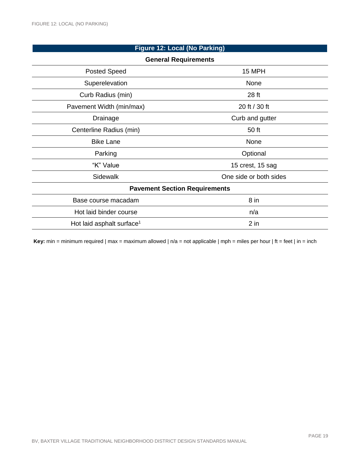#### **Figure 12: Local (No Parking)**

| <b>General Requirements</b>           |                        |  |
|---------------------------------------|------------------------|--|
| <b>Posted Speed</b>                   | 15 MPH                 |  |
| Superelevation                        | None                   |  |
| Curb Radius (min)                     | 28 ft                  |  |
| Pavement Width (min/max)              | 20 ft / 30 ft          |  |
| Drainage                              | Curb and gutter        |  |
| Centerline Radius (min)               | 50 ft                  |  |
| <b>Bike Lane</b>                      | None                   |  |
| Parking                               | Optional               |  |
| "K" Value                             | 15 crest, 15 sag       |  |
| Sidewalk                              | One side or both sides |  |
| <b>Pavement Section Requirements</b>  |                        |  |
| Base course macadam                   | $8$ in                 |  |
| Hot laid binder course                | n/a                    |  |
| Hot laid asphalt surface <sup>1</sup> | $2$ in                 |  |
|                                       |                        |  |

<span id="page-18-0"></span>**Key:** min = minimum required | max = maximum allowed | n/a = not applicable | mph = miles per hour | ft = feet | in = inch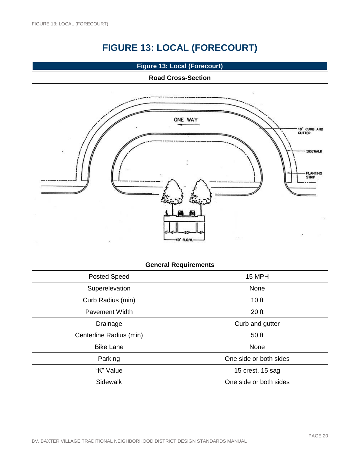# **FIGURE 13: LOCAL (FORECOURT)**

**Figure 13: Local (Forecourt)**

#### **Road Cross-Section**



### **General Requirements**

| Posted Speed            | 15 MPH                 |
|-------------------------|------------------------|
| Superelevation          | None                   |
| Curb Radius (min)       | 10 ft                  |
| <b>Pavement Width</b>   | 20 ft                  |
| Drainage                | Curb and gutter        |
| Centerline Radius (min) | 50 ft                  |
| <b>Bike Lane</b>        | None                   |
| Parking                 | One side or both sides |
| "K" Value               | 15 crest, 15 sag       |
| Sidewalk                | One side or both sides |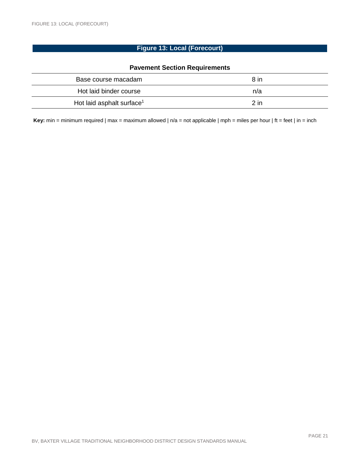#### **Figure 13: Local (Forecourt)**

#### **Pavement Section Requirements**

| Base course macadam                   | 8 in   |
|---------------------------------------|--------|
| Hot laid binder course                | n/a    |
| Hot laid asphalt surface <sup>1</sup> | $2$ in |

<span id="page-20-0"></span>**Key:** min = minimum required | max = maximum allowed | n/a = not applicable | mph = miles per hour | ft = feet | in = inch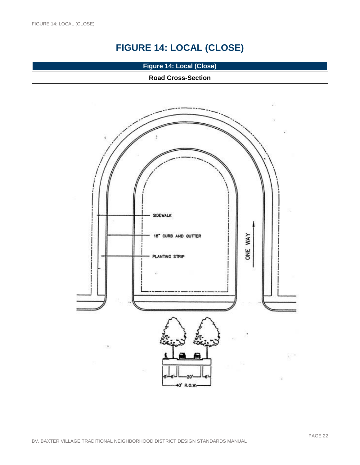# **FIGURE 14: LOCAL (CLOSE)**

**Figure 14: Local (Close)**

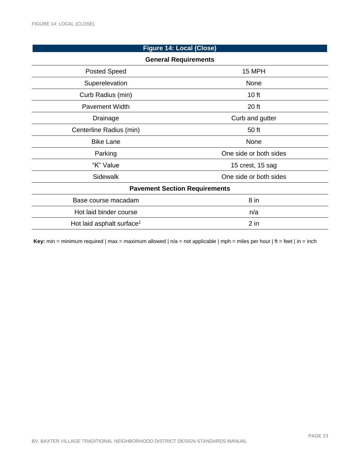### **Figure 14: Local (Close) General Requirements** Posted Speed 15 MPH Superelevation None Curb Radius (min) 10 ft Pavement Width 20 ft Drainage Curb and gutter Centerline Radius (min) 50 ft Bike Lane None Parking **Parking 2008 One side or both sides** "K" Value 15 crest, 15 sag Sidewalk **Sidewalk One side or both sides Pavement Section Requirements** Base course macadam 8 in Hot laid binder course n/a Hot laid asphalt surface<sup>1</sup> and a subset of the set of the set of the set of the set of the set of the set of the set of the set of the set of the set of the set of the set of the set of the set of the set of the set of th

<span id="page-22-0"></span>**Key:** min = minimum required  $\vert$  max = maximum allowed  $\vert$  n/a = not applicable  $\vert$  mph = miles per hour  $\vert$  ft = feet  $\vert$  in = inch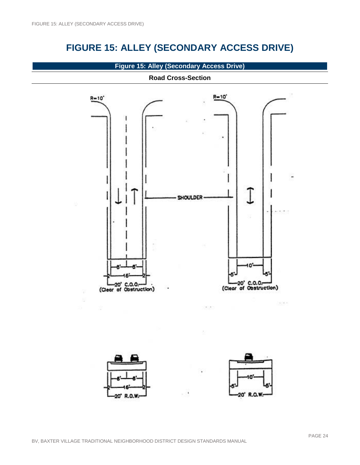### **FIGURE 15: ALLEY (SECONDARY ACCESS DRIVE)**

**Figure 15: Alley (Secondary Access Drive)**